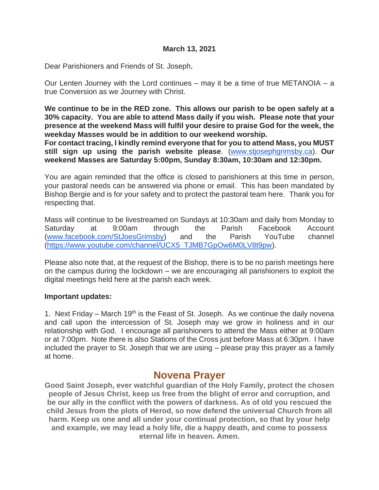Dear Parishioners and Friends of St. Joseph,

Our Lenten Journey with the Lord continues – may it be a time of true METANOIA – a true Conversion as we Journey with Christ.

**We continue to be in the RED zone. This allows our parish to be open safely at a 30% capacity. You are able to attend Mass daily if you wish. Please note that your presence at the weekend Mass will fulfil your desire to praise God for the week, the weekday Masses would be in addition to our weekend worship.**

**For contact tracing, I kindly remind everyone that for you to attend Mass, you MUST still sign up using the parish website please**. [\(www.stjosephgrimsby.ca\)](http://www.stjosephgrimsby.ca/). **Our weekend Masses are Saturday 5:00pm, Sunday 8:30am, 10:30am and 12:30pm.** 

You are again reminded that the office is closed to parishioners at this time in person, your pastoral needs can be answered via phone or email. This has been mandated by Bishop Bergie and is for your safety and to protect the pastoral team here. Thank you for respecting that.

Mass will continue to be livestreamed on Sundays at 10:30am and daily from Monday to Saturday at 9:00am through the Parish Facebook Account [\(www.facebook.com/StJoesGrimsby\)](http://www.facebook.com/StJoesGrimsby) and the Parish YouTube channel [\(https://www.youtube.com/channel/UCX5\\_TJMB7GpOw6M0LV8t9pw\)](https://www.youtube.com/channel/UCX5_TJMB7GpOw6M0LV8t9pw).

Please also note that, at the request of the Bishop, there is to be no parish meetings here on the campus during the lockdown – we are encouraging all parishioners to exploit the digital meetings held here at the parish each week.

#### **Important updates:**

1. Next Friday – March  $19<sup>th</sup>$  is the Feast of St. Joseph. As we continue the daily novena and call upon the intercession of St. Joseph may we grow in holiness and in our relationship with God. I encourage all parishioners to attend the Mass either at 9:00am or at 7:00pm. Note there is also Stations of the Cross just before Mass at 6:30pm. I have included the prayer to St. Joseph that we are using – please pray this prayer as a family at home.

# **Novena Prayer**

**Good Saint Joseph, ever watchful guardian of the Holy Family, protect the chosen people of Jesus Christ, keep us free from the blight of error and corruption, and be our ally in the conflict with the powers of darkness. As of old you rescued the child Jesus from the plots of Herod, so now defend the universal Church from all harm. Keep us one and all under your continual protection, so that by your help and example, we may lead a holy life, die a happy death, and come to possess eternal life in heaven. Amen.**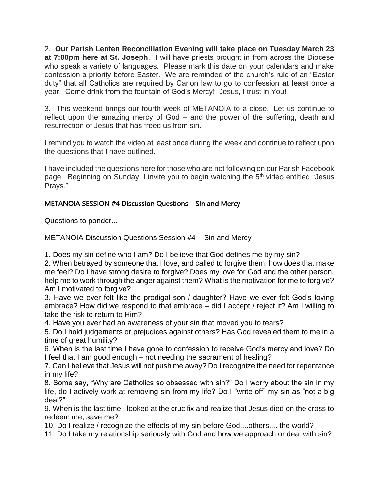2. **Our Parish Lenten Reconciliation Evening will take place on Tuesday March 23 at 7:00pm here at St. Joseph**. I will have priests brought in from across the Diocese who speak a variety of languages. Please mark this date on your calendars and make confession a priority before Easter. We are reminded of the church's rule of an "Easter duty" that all Catholics are required by Canon law to go to confession **at least** once a year. Come drink from the fountain of God's Mercy! Jesus, I trust in You!

3. This weekend brings our fourth week of METANOIA to a close. Let us continue to reflect upon the amazing mercy of God – and the power of the suffering, death and resurrection of Jesus that has freed us from sin.

I remind you to watch the video at least once during the week and continue to reflect upon the questions that I have outlined.

I have included the questions here for those who are not following on our Parish Facebook page. Beginning on Sunday, I invite you to begin watching the 5<sup>th</sup> video entitled "Jesus Prays."

## METANOIA SESSION #4 Discussion Questions – Sin and Mercy

Questions to ponder...

METANOIA Discussion Questions Session #4 – Sin and Mercy

1. Does my sin define who I am? Do I believe that God defines me by my sin?

2. When betrayed by someone that I love, and called to forgive them, how does that make me feel? Do I have strong desire to forgive? Does my love for God and the other person, help me to work through the anger against them? What is the motivation for me to forgive? Am I motivated to forgive?

3. Have we ever felt like the prodigal son / daughter? Have we ever felt God's loving embrace? How did we respond to that embrace – did I accept / reject it? Am I willing to take the risk to return to Him?

4. Have you ever had an awareness of your sin that moved you to tears?

5. Do I hold judgements or prejudices against others? Has God revealed them to me in a time of great humility?

6. When is the last time I have gone to confession to receive God's mercy and love? Do I feel that I am good enough – not needing the sacrament of healing?

7. Can I believe that Jesus will not push me away? Do I recognize the need for repentance in my life?

8. Some say, "Why are Catholics so obsessed with sin?" Do I worry about the sin in my life, do I actively work at removing sin from my life? Do I "write off" my sin as "not a big deal?"

9. When is the last time I looked at the crucifix and realize that Jesus died on the cross to redeem me, save me?

10. Do I realize / recognize the effects of my sin before God....others.... the world?

11. Do I take my relationship seriously with God and how we approach or deal with sin?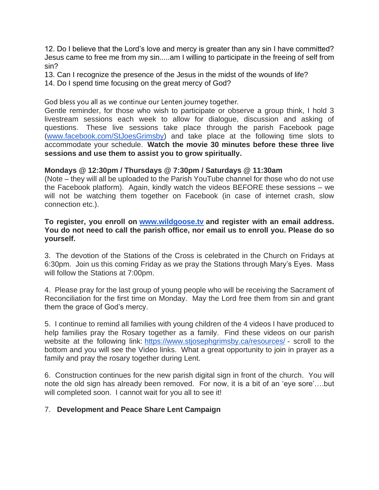12. Do I believe that the Lord's love and mercy is greater than any sin I have committed? Jesus came to free me from my sin.....am I willing to participate in the freeing of self from sin?

- 13. Can I recognize the presence of the Jesus in the midst of the wounds of life?
- 14. Do I spend time focusing on the great mercy of God?

God bless you all as we continue our Lenten journey together.

Gentle reminder, for those who wish to participate or observe a group think, I hold 3 livestream sessions each week to allow for dialogue, discussion and asking of questions. These live sessions take place through the parish Facebook page [\(www.facebook.com/StJoesGrimsby\)](http://www.facebook.com/StJoesGrimsby) and take place at the following time slots to accommodate your schedule. **Watch the movie 30 minutes before these three live sessions and use them to assist you to grow spiritually.**

### **Mondays @ 12:30pm / Thursdays @ 7:30pm / Saturdays @ 11:30am**

(Note – they will all be uploaded to the Parish YouTube channel for those who do not use the Facebook platform). Again, kindly watch the videos BEFORE these sessions – we will not be watching them together on Facebook (in case of internet crash, slow connection etc.).

**To register, you enroll on [www.wildgoose.tv](http://www.wildgoose.tv/) and register with an email address. You do not need to call the parish office, nor email us to enroll you. Please do so yourself.**

3. The devotion of the Stations of the Cross is celebrated in the Church on Fridays at 6:30pm. Join us this coming Friday as we pray the Stations through Mary's Eyes. Mass will follow the Stations at 7:00pm.

4. Please pray for the last group of young people who will be receiving the Sacrament of Reconciliation for the first time on Monday. May the Lord free them from sin and grant them the grace of God's mercy.

5. I continue to remind all families with young children of the 4 videos I have produced to help families pray the Rosary together as a family. Find these videos on our parish website at the following link: <https://www.stjosephgrimsby.ca/resources/> - scroll to the bottom and you will see the Video links. What a great opportunity to join in prayer as a family and pray the rosary together during Lent.

6. Construction continues for the new parish digital sign in front of the church. You will note the old sign has already been removed. For now, it is a bit of an 'eye sore'….but will completed soon. I cannot wait for you all to see it!

### 7. **Development and Peace Share Lent Campaign**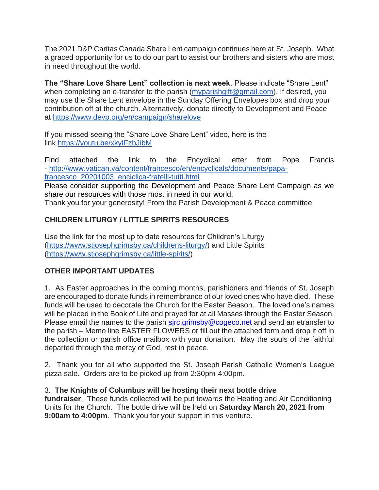The 2021 D&P Caritas Canada Share Lent campaign continues here at St. Joseph. What a graced opportunity for us to do our part to assist our brothers and sisters who are most in need throughout the world.

**The "Share Love Share Lent" collection is next week**. Please indicate "Share Lent" when completing an e-transfer to the parish [\(myparishgift@gmail.com\)](mailto:myparishgift@gmail.com). If desired, you may use the Share Lent envelope in the Sunday Offering Envelopes box and drop your contribution off at the church. Alternatively, donate directly to Development and Peace at <https://www.devp.org/en/campaign/sharelove>

If you missed seeing the "Share Love Share Lent" video, here is the link <https://youtu.be/xkyIFzbJibM>

Find attached the link to the Encyclical letter from Pope Francis - [http://www.vatican.va/content/francesco/en/encyclicals/documents/papa](http://www.vatican.va/content/francesco/en/encyclicals/documents/papa-francesco_20201003_enciclica-fratelli-tutti.html)[francesco\\_20201003\\_enciclica-fratelli-tutti.html](http://www.vatican.va/content/francesco/en/encyclicals/documents/papa-francesco_20201003_enciclica-fratelli-tutti.html)

Please consider supporting the Development and Peace Share Lent Campaign as we share our resources with those most in need in our world.

Thank you for your generosity! From the Parish Development & Peace committee

# **CHILDREN LITURGY / LITTLE SPIRITS RESOURCES**

Use the link for the most up to date resources for Children's Liturgy [\(https://www.stjosephgrimsby.ca/childrens-liturgy/\)](https://www.stjosephgrimsby.ca/childrens-liturgy/) and Little Spirits [\(https://www.stjosephgrimsby.ca/little-spirits/\)](https://www.stjosephgrimsby.ca/little-spirits/)

## **OTHER IMPORTANT UPDATES**

1. As Easter approaches in the coming months, parishioners and friends of St. Joseph are encouraged to donate funds in remembrance of our loved ones who have died. These funds will be used to decorate the Church for the Easter Season. The loved one's names will be placed in the Book of Life and prayed for at all Masses through the Easter Season. Please email the names to the parish sirc.grimsby@cogeco.net and send an etransfer to the parish – Memo line EASTER FLOWERS or fill out the attached form and drop it off in the collection or parish office mailbox with your donation. May the souls of the faithful departed through the mercy of God, rest in peace.

2. Thank you for all who supported the St. Joseph Parish Catholic Women's League pizza sale. Orders are to be picked up from 2:30pm-4:00pm.

### 3. **The Knights of Columbus will be hosting their next bottle drive**

**fundraiser**. These funds collected will be put towards the Heating and Air Conditioning Units for the Church. The bottle drive will be held on **Saturday March 20, 2021 from 9:00am to 4:00pm**. Thank you for your support in this venture.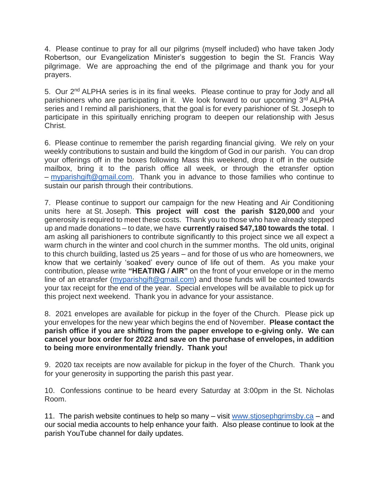4. Please continue to pray for all our pilgrims (myself included) who have taken Jody Robertson, our Evangelization Minister's suggestion to begin the St. Francis Way pilgrimage. We are approaching the end of the pilgrimage and thank you for your prayers.

5. Our 2<sup>nd</sup> ALPHA series is in its final weeks. Please continue to pray for Jody and all parishioners who are participating in it. We look forward to our upcoming 3<sup>rd</sup> ALPHA series and I remind all parishioners, that the goal is for every parishioner of St. Joseph to participate in this spiritually enriching program to deepen our relationship with Jesus Christ.

6. Please continue to remember the parish regarding financial giving. We rely on your weekly contributions to sustain and build the kingdom of God in our parish. You can drop your offerings off in the boxes following Mass this weekend, drop it off in the outside mailbox, bring it to the parish office all week, or through the etransfer option – [myparishgift@gmail.com.](mailto:myparishgift@gmail.com) Thank you in advance to those families who continue to sustain our parish through their contributions.

7. Please continue to support our campaign for the new Heating and Air Conditioning units here at St. Joseph. **This project will cost the parish \$120,000** and your generosity is required to meet these costs. Thank you to those who have already stepped up and made donations – to date, we have **currently raised \$47,180 towards the total**. I am asking all parishioners to contribute significantly to this project since we all expect a warm church in the winter and cool church in the summer months. The old units, original to this church building, lasted us 25 years – and for those of us who are homeowners, we know that we certainly 'soaked' every ounce of life out of them. As you make your contribution, please write **"HEATING / AIR"** on the front of your envelope or in the memo line of an etransfer [\(myparishgift@gmail.com\)](mailto:myparishgift@gmail.com) and those funds will be counted towards your tax receipt for the end of the year. Special envelopes will be available to pick up for this project next weekend. Thank you in advance for your assistance.

8. 2021 envelopes are available for pickup in the foyer of the Church. Please pick up your envelopes for the new year which begins the end of November. **Please contact the parish office if you are shifting from the paper envelope to e-giving only. We can cancel your box order for 2022 and save on the purchase of envelopes, in addition to being more environmentally friendly. Thank you!**

9. 2020 tax receipts are now available for pickup in the foyer of the Church. Thank you for your generosity in supporting the parish this past year.

10. Confessions continue to be heard every Saturday at 3:00pm in the St. Nicholas Room.

11. The parish website continues to help so many – visit [www.stjosephgrimsby.ca](http://www.stjosephgrimsby.ca/) – and our social media accounts to help enhance your faith. Also please continue to look at the parish YouTube channel for daily updates.